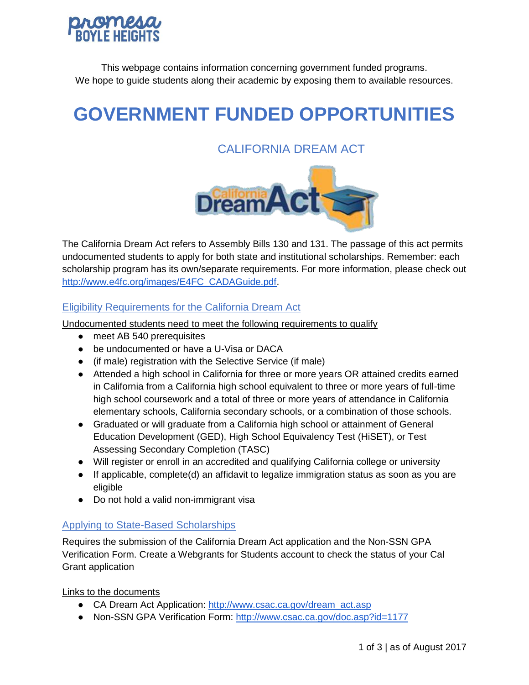

This webpage contains information concerning government funded programs. We hope to guide students along their academic by exposing them to available resources.

# **GOVERNMENT FUNDED OPPORTUNITIES**

# CALIFORNIA DREAM ACT



The California Dream Act refers to Assembly Bills 130 and 131. The passage of this act permits undocumented students to apply for both state and institutional scholarships. Remember: each scholarship program has its own/separate requirements. For more information, please check out [http://www.e4fc.org/images/E4FC\\_CADAGuide.pdf.](http://www.e4fc.org/images/E4FC_CADAGuide.pdf)

#### Eligibility Requirements for the California Dream Act

Undocumented students need to meet the following requirements to qualify

- meet AB 540 prerequisites
- be undocumented or have a U-Visa or DACA
- (if male) registration with the Selective Service (if male)
- Attended a high school in California for three or more years OR attained credits earned in California from a California high school equivalent to three or more years of full-time high school coursework and a total of three or more years of attendance in California elementary schools, California secondary schools, or a combination of those schools.
- Graduated or will graduate from a California high school or attainment of General Education Development (GED), High School Equivalency Test (HiSET), or Test Assessing Secondary Completion (TASC)
- Will register or enroll in an accredited and qualifying California college or university
- If applicable, complete(d) an affidavit to legalize immigration status as soon as you are eligible
- Do not hold a valid non-immigrant visa

#### Applying to State-Based Scholarships

Requires the submission of the California Dream Act application and the Non-SSN GPA Verification Form. Create a Webgrants for Students account to check the status of your Cal Grant application

Links to the documents

- CA Dream Act Application: [http://www.csac.ca.gov/dream\\_act.asp](http://www.csac.ca.gov/dream_act.asp)
- Non-SSN GPA Verification Form:<http://www.csac.ca.gov/doc.asp?id=1177>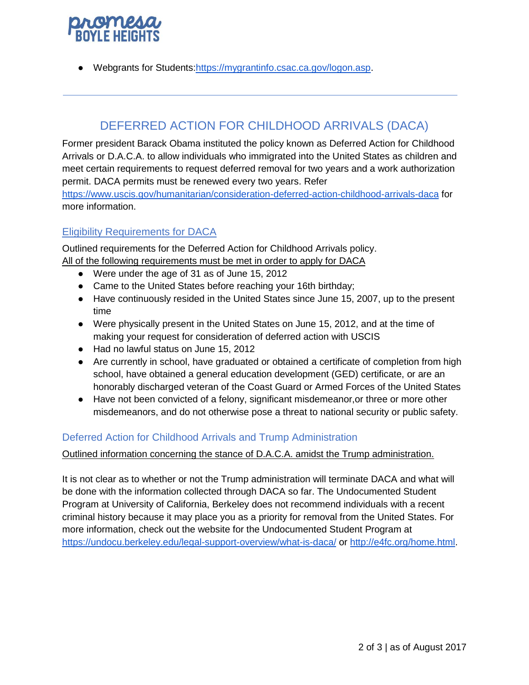● Webgrants for Students[:https://mygrantinfo.csac.ca.gov/logon.asp.](https://mygrantinfo.csac.ca.gov/logon.asp)

# DEFERRED ACTION FOR CHILDHOOD ARRIVALS (DACA)

Former president Barack Obama instituted the policy known as Deferred Action for Childhood Arrivals or D.A.C.A. to allow individuals who immigrated into the United States as children and meet certain requirements to request deferred removal for two years and a work authorization permit. DACA permits must be renewed every two years. Refer

<https://www.uscis.gov/humanitarian/consideration-deferred-action-childhood-arrivals-daca> for more information.

### Eligibility Requirements for DACA

Outlined requirements for the Deferred Action for Childhood Arrivals policy. All of the following requirements must be met in order to apply for DACA

- Were under the age of 31 as of June 15, 2012
- Came to the United States before reaching your 16th birthday;
- Have continuously resided in the United States since June 15, 2007, up to the present time
- Were physically present in the United States on June 15, 2012, and at the time of making your request for consideration of deferred action with USCIS
- Had no lawful status on June 15, 2012
- Are currently in school, have graduated or obtained a certificate of completion from high school, have obtained a general education development (GED) certificate, or are an honorably discharged veteran of the Coast Guard or Armed Forces of the United States
- Have not been convicted of a felony, significant misdemeanor,or three or more other misdemeanors, and do not otherwise pose a threat to national security or public safety.

#### Deferred Action for Childhood Arrivals and Trump Administration

#### Outlined information concerning the stance of D.A.C.A. amidst the Trump administration.

It is not clear as to whether or not the Trump administration will terminate DACA and what will be done with the information collected through DACA so far. The Undocumented Student Program at University of California, Berkeley does not recommend individuals with a recent criminal history because it may place you as a priority for removal from the United States. For more information, check out the website for the Undocumented Student Program at <https://undocu.berkeley.edu/legal-support-overview/what-is-daca/> or [http://e4fc.org/home.html.](http://e4fc.org/home.html)